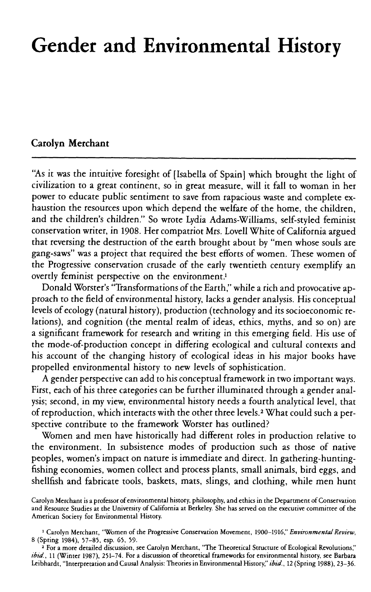## Gender and Environmental History

## Carolyn Merchant

"As it was the intuitive foresight of [Isabella of Spain] which brought the light of civilization to a great continent, so in great measure, will it fall to woman in her power to educate public sentiment to save from rapacious waste and complete exhaustion the resources upon which depend the welfare of the home, the children, and the children's children." So wrote Lydia Adams-Williams, self-styled feminist conservation writer, in 1908. Her compatriot Mrs. Lovell White of California argued that reversing the destruction of the earth brought about by "men whose souls are gang-saws" was a project that required the best efforts of women. These women of the Progressive conservation crusade of the early twentieth century exemplify an overtly feminist perspective on the environment.<sup>1</sup>

Donald Worster's "Transformations of the Earth," while a rich and provocative approach to the field of environmental history, lacks a gender analysis. His conceptual levels of ecology (natural history), production (technology and its socioeconomic relations), and cognition (the mental realm of ideas, ethics, myths, and so on) are a significant framework for research and writing in this emerging field. His use of the mode-of-production concept in differing ecological and cultural contexts and his account of the changing history of ecological ideas in his major books have propelled environmental history to new levels of sophistication.

A gender perspective can add to his conceptual framework in two important ways. First, each of his three categories can be further illuminated through a gender analysis; second, in my view, environmental history needs a fourth analytical level, that of reproduction, which interacts with the other three levels.<sup>2</sup> What could such a perspective contribute to the framework Worster has outlined?

Women and men have historically had different roles in production relative to the environment. In subsistence modes of production such as those of native peoples, women's impact on nature is immediate and direct. In gathering-huntingfishing economies, women collect and process plants, small animals, bird eggs, and shellfish and fabricate tools, baskets, mats, slings, and clothing, while men hunt

Carolyn Merchant is a professor of environmental history, philosophy, and ethics in the Department of Conservation and Resource Studies at the University of California at Berkeley. She has served on rhe executive committee of the American Society for Environmental History.

<sup>&#</sup>x27; Carolyn Merchant, "Women of the Progressive Conservation Movement, 1900-1916," *Environmental Review,* 8 (Spring 1984), 57-85, esp. 65, 59.

<sup>&</sup>lt;sup>2</sup> For a more detailed discussion, see Carolyn Merchant, "The Theoretical Structure of Ecological Revolutions," *ihid.,* 11 (Winter 1987), 251-74. For a discussion of theoretical frameworks for environmental history, see Barbara Leibhardt, "Interpretation and Causal Analysis: Theories in Environmental History," *ibid.,* 12 (Spring 1988), 23-36.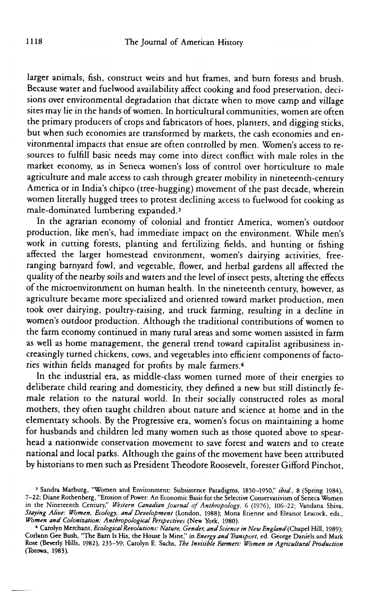larger animals, fish, construct weirs and hut frames, and burn forests and brush. Because water and fuelwood availability affect cooking and food preservation, decisions over environmental degradation that dictate when to move camp and village sites may lie in the hands of women. In horticultural communities, women are often the primary producers of crops and fabricators of hoes, planters, and digging sticks, but when such economies are transformed by markets, the cash economies and environmental impacts that ensue are often controlled by men. Women's access to resources to fulfill basic needs may come into direct conflict with male roles in the market economy, as in Seneca women's loss of control over horticulture to male agriculture and male access to cash through greater mobility in nineteenth-century America or in India's chipco (tree-hugging) movement of the past decade, wherein women literally hugged trees to protest declining access to fuelwood for cooking as male-dominated lumbering expanded.<sup>3</sup>

In the agrarian economy of colonial and frontier America, women's outdoor production, like men's, had immediate impact on the environment. While men's work in cutting forests, planting and fertilizing fields, and hunting or fishing affected the larger homestead environment, women's dairying activities, freeranging barnyard fowl, and vegetable, flower, and herbal gardens all affected the quality of the nearby soils and waters and the level of insect pests, altering the effects of the microenvironment on human health. In the nineteenth century, however, as agriculture became more specialized and oriented toward market production, men took over dairying, poultry-raising, and truck farming, resulting in a decline in women's outdoor production. Although the traditional contributions of women to the farm economy continued in many rural areas and some women assisted in farm as well as home management, the general trend toward capitalist agribusiness increasingly turned chickens, cows, and vegetables into efficient components of factories within fields managed for profits by male farmers.<sup>4</sup>

In the industrial era, as middle-class women turned more of their energies to deliberate child rearing and domesticity, they defined a new but still distinctly female relation to the natural world. In their socially constructed roles as moral mothers, they often taught children about nature and science at home and in the elementary schools. By the Progressive era, women's focus on maintaining a home for husbands and children led many women such as those quoted above to spearhead a nationwide conservation movement to save forest and waters and to create national and local parks. Although the gains of the movement have been attributed by historians to men such as President Theodore Roosevelt, forester Gifford Pinchot,

<sup>&#</sup>x27; Sandra Marburg, "Women and Environment: Subsistence Paradigms, 1850-1950," *ibid.,* 8 (Spring 1984), 7-22; Diane Rothenberg, "Erosion of Power: An Economic Basis for the Selective Conservativism of Seneca Women in the Nineteenth Century," *Western Canadian journal of Anthropology,* 6 (1976), 106-22; Vandana Shiva, *Staying Alive: Women, Ecology, and Development* (London, 1988); Mona Etienne and Eleanor Leacock, eds.. *Women and Colonization: Anthropological Perspectives* (New York, 1980).

<sup>\*</sup> Carolyn Merchant, *Ecological Revolutions: Nature, Gender, and Science in New England (Chzpel* Hill, 1989); Corlann Gee Bush, "The Barn Is His, the House Is Mine," in *Energy and Transport,* ed. George Daniels and Mark Rose (Beverly Hills, 1982), 235-59; Carolyn E. Sachs, *The Invisible Farmers: Women in Agricultural Production* (Totowa, 1983).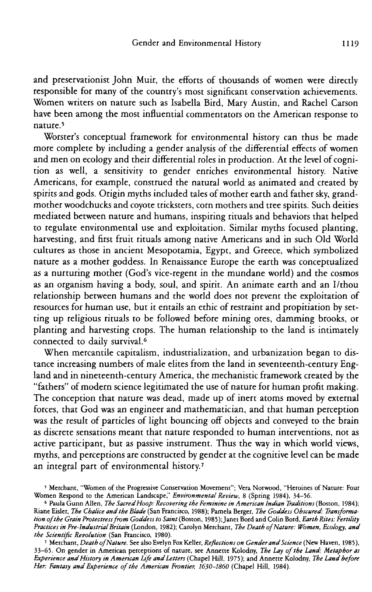and preservationist John Muir, the efforts of thousands of women were directly responsible for many of the country's most significant conservation achievements. Women writers on nature such as Isabella Bird, Mary Austin, and Rachel Carson have been among the most influential commentators on the American response to nature.'

Worster's conceptual framework for environmental history can thus be made more complete by including a gender analysis of the differential effects of women and men on ecology and their differential roles in production. At the level of cognition as well, a sensitivity to gender enriches environmental history. Native Americans, for example, construed the natural world as animated and created by spirits and gods. Origin myths included tales of mother earth and father sky, grandmother woodchucks and coyote tricksters, corn mothers and tree spirits. Such deities mediated between nature and humans, inspiring rituals and behaviors that helped to regulate environmental use and exploitation. Similar myths focused planting, harvesting, and first fruit rituals among native Americans and in such Old World cultures as those in ancient Mesopotamia, Egypt, and Greece, which symbolized nature as a mother goddess. In Renaissance Europe the earth was conceptualized as a nurturing mother (God's vice-regent in the mundane world) and the cosmos as an organism having a body, soul, and spirit. An animate earth and an I/thou relationship between humans and the world does not prevent the exploitation of resources for human use, but it entails an ethic of restraint and propitiation by setting up religious rituals to be followed before mining ores, damming brooks, or planting and harvesting crops. The human relationship to the land is intimately connected to daily survival.<sup>6</sup>

When mercantile capitalism, industrialization, and urbanization began to distance increasing numbers of male elites from the land in seventeenth-century England and in nineteenth-century America, the mechanistic framework created by the "fathers" of modern science legitimated the use of nature for human profit making. The conception that nature was dead, made up of inert atoms moved by external forces, that God was an engineer and mathematician, and that human perception was the result of particles of light bouncing off objects and conveyed to the brain as discrete sensations meant that nature responded to human interventions, not as active participant, but as passive instrument. Thus the way in which world views, myths, and perceptions are constructed by gender at the cognitive level can be made an integral part of environmental history.<sup>7</sup>

<sup>&#</sup>x27; Merchant, "Women of the Progressive Conservation Movement"; Vera Norwood, "Heroines of Nature: Four Women Respond to the American Landscape," *Environmental Review,* 8 (Spring 1984), 34-56.

<sup>\*</sup> Paula Gunn Allen, *The Sacred Hoop: Recovering the Feminine in American Indian Traditions* (Boston, 1984); Riane Eisler, *The Chalice and the Blade* (San Francisco, 1988); Pamela Berger, *The Goddess Obscured: Transformation of the Grain Protectress from Goddess to Saint* (Boston, 1985); Janet Bord and Colin Bord, *Earth Rites: Fertility Practices in Pre-Industrial Britain* (London, 1982); Carolyn Merchant, *The Death of Nature: Women, Ecology, and the Scientific Revolution* (San Francisco, 1980).

<sup>&#</sup>x27; Merchant, *Death of Nature.* See also Evelyn Fox Keller, *Reflections on Gender and Science* (New Haven, 1985), 33-65. On gender in American perceptions of nature, see Annette Kolodny, *The Lay of the Land: Metaphor as Experience and History in American Life and Letters* (Chapel Hill, 1975); and Annette Kolodny, *The Land before Her: Fantasy and Experience of the American Frontier, 1630-1860* (Chapel Hill, 1984).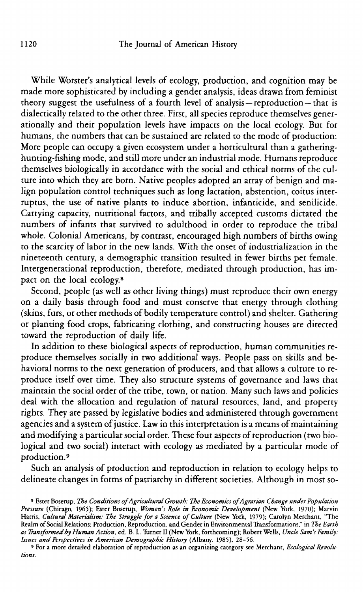While Worster's analytical levels of ecology, production, and cognition may be made more sophisticated by including a gender analysis, ideas drawn from feminist theory suggest the usefulness of a fourth level of analysis —reproduction —that is dialectically related to the other three. First, all species reproduce themselves generationally and their population levels have impacts on the local ecology. But for humans, the numbers that can be sustained are related to the mode of production: More people can occupy a given ecosystem under a horticultural than a gatheringhunting-fishing mode, and still more under an industrial mode. Humans reproduce themselves biologically in accordance with the social and ethical norms of the culture into which they are born. Native peoples adopted an array of benign and malign population control techniques such as long lactation, abstention, coitus interruptus, the use of native plants to induce abortion, infanticide, and senilicide. Carrying capacity, nutritional factors, and tribally accepted customs dictated the numbers of infants that survived to adulthood in order to reproduce the tribal whole. Colonial Americans, by contrast, encouraged high numbers of births owing to the scarcity of labor in the new lands. With the onset of industrialization in the nineteenth century, a demographic transition resulted in fewer births per female. Intergenerational reproduction, therefore, mediated through production, has impact on the local ecology.<sup>8</sup>

Second, people (as well as other living things) must reproduce their own energy on a daily basis through food and must conserve that energy through clothing (skins, furs, or other methods of bodily temperature control) and shelter. Gathering or planting food crops, fabricating clothing, and constructing houses are directed toward the reproduction of daily life.

In addition to these biological aspects of reproduction, human communities reproduce themselves socially in two additional ways. People pass on skills and behavioral norms to the next generation of producers, and that allows a culture to reproduce itself over time. They also structure systems of governance and laws that maintain the social order of the tribe, town, or nation. Many such laws and policies deal with the allocation and regulation of natural resources, land, and property rights. They are passed by legislative bodies and administered through government agencies and a system of justice. Law in this interpretation is a means of maintaining and modifying a particular social order. These four aspects of reproduction (two biological and two social) interact with ecology as mediated by a particular mode of production.9

Such an analysis of production and reproduction in relation to ecology helps to delineate changes in forms of patriarchy in different societies. Although in most so-

<sup>\*</sup> Ester Boserup, *The Conditions of Agricultural Growth: The Economics of Agrarian Change under Population Pressure* (Chicago, 1965); Ester Boserup, *Women's Role in Economic Development* (New \brk, 1970); Marvin Harris, *Cultural Materialism.: The Struggle for a Science oj Culture* (New York, 1979); Carolyn Merchant, "The Realm of Social Relations: Production, Reproduction, and Gender in Environmental Transformations," in *The Earth as Transformed hy Human Action,* ed. B. L. Turner II (New \brk, forthcoming); Robert Wells, *Uncle Sam's Family: Issues and Perspectives in American Demographic History* (Albany, 1985), 28-56.

<sup>&#</sup>x27; For a more detailed elaboration of reproduction as an organizing category see Merchant, *Ecological Revolutions.*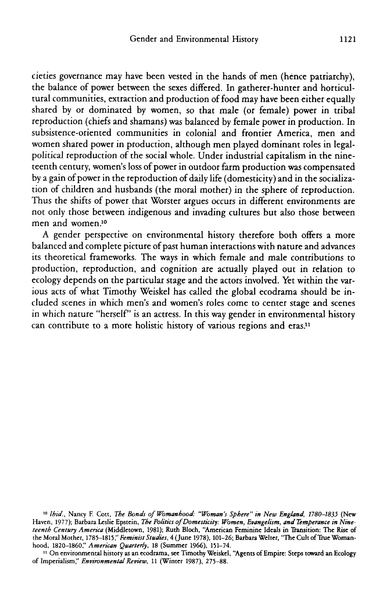cieties governance may have been vested in the hands of men (hence patriarchy), the balance of power between the sexes differed. In gatherer-hunter and horticultural communities, extraction and production of food may have been either equally shared by or dominated by women, so that male (or female) power in tribal reproduction (chiefs and shamans) was balanced by female power in production. In subsistence-oriented communities in colonial and frontier America, men and women shared power in production, although men played dominant roles in legalpolitical reproduction of the social whole. Under industrial capitalism in the nineteenth century, women's loss of power in outdoor farm production was compensated by a gain of power in the reproduction of daily life (domesticity) and in the socialization of children and husbands (the moral mother) in the sphere of reproduction. Thus the shifts of power that Worster argues occurs in different environments are not only those between indigenous and invading cultures but also those between men and women.<sup>10</sup>

A gender perspective on environmental history therefore both offers a more balanced and complete picture of past human interactions with nature and advances its theoretical frameworks. The ways in which female and male contributions to production, reproduction, and cognition are actually played out in relation to ecology depends on the particular stage and the actors involved. Yet within the various acts of what Timothy Weiskel has called the global ecodrama should be included scenes in which men's and women's roles come to center stage and scenes in which nature "herself" *is* an actress. In this way gender in environmental history can contribute to a more holistic history of various regions and eras."

<sup>&</sup>lt;sup>10</sup> Ibid., Nancy F. Cott, The Bonds of Womanhood: "Woman's Sphere" in New England, 1780-1835 (New Haven, 1977); Barbara Leslie Epstein, *The Politics of Domesticity: Women, Evangelism, and Temperance in Nineteenth Century America* (Middletown, 1981); Ruth Bloch, "American Feminine Ideals in Transition: The Rise of the Moral Mother, 1785-1815," *Feminist Studies,* 4 (June 1978), 101-26; Barbara Welter, "The Cult of True Womanhood, 1820-1860," *American Quarterly,* 18 (Summer 1966), 151-74.

<sup>(</sup>a) 1820–1800, *Arnei tean Quarterry*, 10 (Summer 1900), 1919 (1)<br><sup>11</sup> On environmental history as an ecodrama, see Timothy Weiskel, "Agents of Empire: Steps toward an Ecology of Imperialism," *Environmental Review,* 11 (Winter 1987), 275-88.